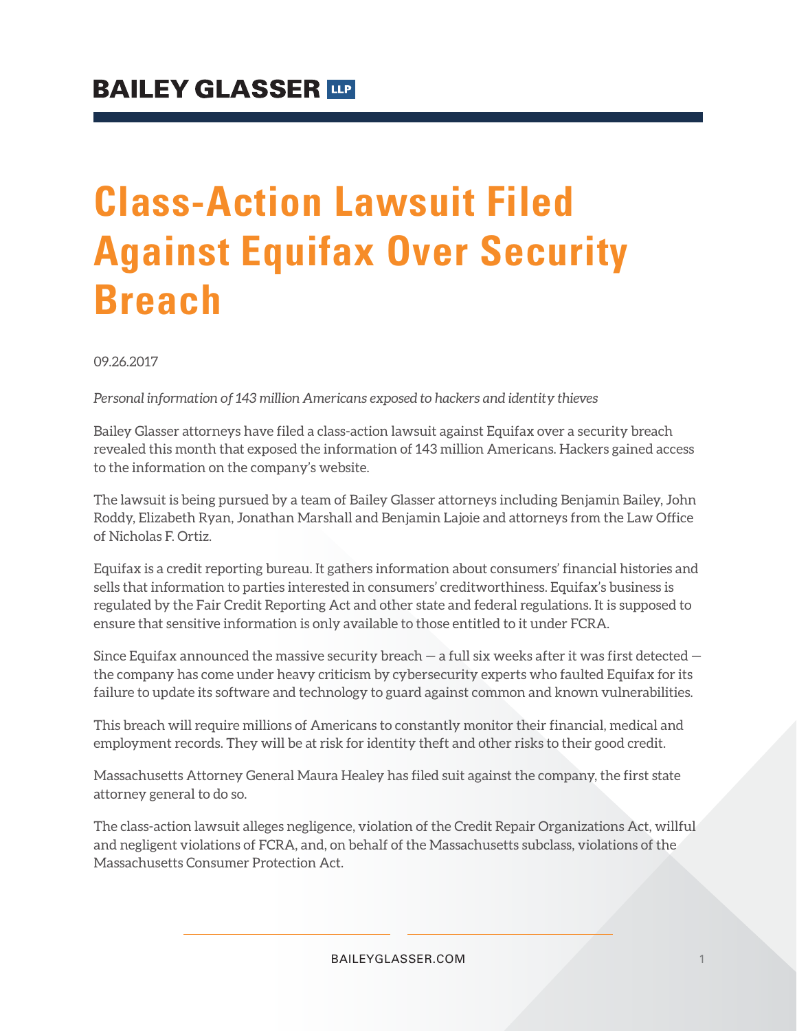# **Class-Action Lawsuit Filed Against Equifax Over Security Breach**

09.26.2017

*Personal information of 143 million Americans exposed to hackers and identity thieves*

Bailey Glasser attorneys have filed a class-action lawsuit against Equifax over a security breach revealed this month that exposed the information of 143 million Americans. Hackers gained access to the information on the company's website.

The lawsuit is being pursued by a team of Bailey Glasser attorneys including Benjamin Bailey, John Roddy, Elizabeth Ryan, Jonathan Marshall and Benjamin Lajoie and attorneys from the Law Office of Nicholas F. Ortiz.

Equifax is a credit reporting bureau. It gathers information about consumers' financial histories and sells that information to parties interested in consumers' creditworthiness. Equifax's business is regulated by the Fair Credit Reporting Act and other state and federal regulations. It is supposed to ensure that sensitive information is only available to those entitled to it under FCRA.

Since Equifax announced the massive security breach  $-$  a full six weeks after it was first detected  $$ the company has come under heavy criticism by cybersecurity experts who faulted Equifax for its failure to update its software and technology to guard against common and known vulnerabilities.

This breach will require millions of Americans to constantly monitor their financial, medical and employment records. They will be at risk for identity theft and other risks to their good credit.

Massachusetts Attorney General Maura Healey has filed suit against the company, the first state attorney general to do so.

The class-action lawsuit alleges negligence, violation of the Credit Repair Organizations Act, willful and negligent violations of FCRA, and, on behalf of the Massachusetts subclass, violations of the Massachusetts Consumer Protection Act.